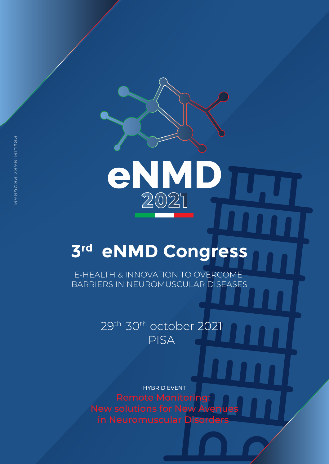# eNM 2021

## **3rd eNMD Congress**

E-HEALTH & INNOVATION TO OVERCOME BARRIERS IN NEUROMUSCULAR DISEASES

## 29th-30th october 2021 PISA

HYBRID EVENT Remote Monitoring: New solutions for New Avenues in Neuromuscular Disorders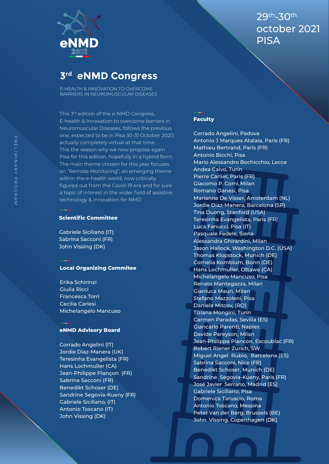

E-HEALTH & INNOVATION TO OVERCOME BARRIERS IN NEUROMUSCULAR DISEASES

This 3<sup>rd</sup> edition of the e-NMD Congress, E-health & Innovation to overcome barriers in Neuromuscular Diseases, follows the previous one, expected to be in Pisa 30-31 October 2020, actually completely virtual at that time. This the reason why we now propose again Pisa for this edition, hopefully in a hybrid form. The main theme chosen for this year focuses on "Remote Monitoring", an emerging theme within the e-health world, now critically figured out from the Covid-19 era and for sure a topic of interest in the wider field of assistive technology & innovation for NMD.

#### **Scientific Committee**

Gabriele Siciliano (IT) Sabrina Sacconi (FR) John Vissing (DK)

#### **Local Organizing Commitee**

Erika Schirinzi Giulia Ricci Francesca Torri Cecilia Carlesi Michelangelo Mancuso

#### **eNMD Advisory Board**

Corrado Angelini (IT) Jordie Diaz-Manera (UK) Teresinha Evangelista (FR) Hans Lochmuller (CA) Jean-Philippe Plançon (FR) Sabrina Sacconi (FR) Benedikt Schoser (DE) Sandrine Segovia-Kueny (FR) Gabriele Siciliano, (IT) Antonio Toscano (IT) John Vissing (DK)

29th-30th october 2021 **PISA** 

#### **Faculty**

Corrado Angelini, Padova Antonio J Marques Atalaia, Paris (FR) Mathieu Bertrand, Paris (FR) Antonio Bicchi, Pisa Mario Alessandro Bochicchio, Lecce Andea Calvo, Turin Pierre Carlier, Paris (FR) Giacomo P. Comi, Milan Romano Danesi, Pisa Marianne De Visser, Amsterdam (NL) Jordie Diaz-Manera, Barcelona (SP) Tina Duong, Stanford (USA) Teresinha Evangelista, Paris (FR) Luca Fanucci, Pisa (IT) Pasquale Fedele, Siena Alessandra Ghirardini, Milan Jason Hallock, Washington D.C. (USA) Thomas Klopstock, Munich (DE) Cornelia Kornblum, Bonn (DE) Hans Lochmuller, Ottawa (CA) Michelangelo Mancuso, Pisa Renato Mantegazza, Milan Gianluca Mauri, Milan Stefano Mazzoleni, Pisa Daniela Mitcov, (RO) Tiziana Mongini, Turin Carmen Paradas, Sevilla (ES) Giancarlo Parenti, Naples Davide Pareyson, Milan Jean-Philippe Plancon, Escoublac (FR) Robert Riener Zurich, SW Miguel Angel Rubio, Barcelona (ES) Sabrina Sacconi, Nice (FR) Benedikt Schoser, Munich (DE) Sandrine Segovia-Kueny, Paris (FR) José Javier Serrano, Madrid (ES) Gabriele Siciliano, Pisa Domenica Taruscio, Roma Antonio Toscano, Messina Peter Van der Berg, Brussels (BE) John Vissing, Copenhagen (DK)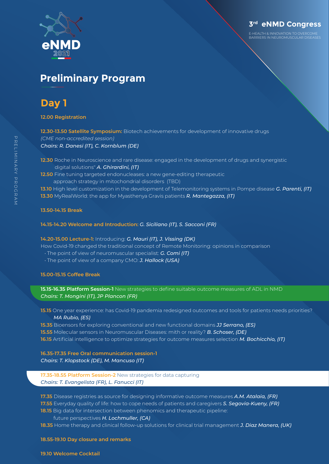

E-HEALTH & INNOVATION TO OVERCOME BARRIERS IN NEUROMUSCULAR DISEASES

## **Preliminary Program**

## **Day 1**

**12.00 Registration**

**12.30-13.50 Satellite Symposium:** Biotech achievements for development of innovative drugs *(CME non-accredited session) Chairs: R. Danesi (IT), C. Kornblum (DE)* 

- **12.30** Roche in Neuroscience and rare disease: engaged in the development of drugs and synergistic digital solutions" *A. Ghirardini, (IT)*
- **12.50** Fine tuning targeted endonucleases: a new gene-editing therapeutic approach strategy in mitochondrial disorders (TBD)

**13.10** High level customization in the development of Telemonitoring systems in Pompe disease *G. Parenti, (IT)* **13.30** MyRealWorld: the app for Myasthenya Gravis patients *R. Mantegazza, (IT)*

#### **13.50-14.15 Break**

#### **14.15-14.20 Welcome and Introduction:** *G. Siciliano (IT), S. Sacconi (FR)*

#### **14.20-15.00 Lecture-1:** Introducing: *G. Mauri (IT), J. Vissing (DK)*

How Covid-19 changed the traditional concept of Remote Monitoring: opinions in comparison

- The point of view of neuromuscular specialist: *G. Comi (IT)*
- The point of view of a company CMO: *J. Hallock (USA)*

#### **15.00-15.15 Coffee Break**

**15.15-16.35 Platform Session-1** New strategies to define suitable outcome measures of ADL in NMD *Chairs: T. Mongini (IT), JP Plancon (FR)*

**15.15** One year experience: has Covid-19 pandemia redesigned outcomes and tools for patients needs priorities? *MA Rubio, (ES)*

**15.35** Bioensors for exploring conventional and new functional domains *JJ Serrano, (ES)* **15.55** Molecular sensors in Neuromuscular Diseases: mith or reality? *B. Schoser, (DE)* **16.15** Artificial intelligence to optimize strategies for outcome measures selection *M. Bochicchio, (IT)*

**16.35-17.35 Free Oral communication session-1** *Chairs: T. Klopstock (DE), M. Mancuso (IT)*

**17.35-18.55 Platform Session-2** New strategies for data capturing *Chairs: T. Evangelista (FR), L. Fanucci (IT)*

**17.35** Disease registries as source for designing informative outcome measures *A.M. Atalaia, (FR)* **17.55** Everyday quality of life: how to cope needs of patients and caregivers *S. Segovia-Kueny, (FR)* **18.15** Big data for intersection between phenomics and therapeutic pipeline:

#### future perspectives *H. Lochmuller, (CA)*

**18.35** Home therapy and clinical follow-up solutions for clinical trial management *J. Diaz Manera, (UK)*

#### **18.55-19.10 Day closure and remarks**

#### **19.10 Welcome Cocktail**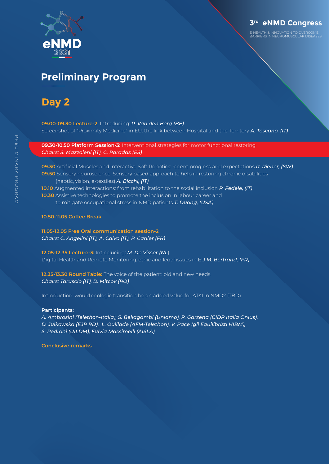

E-HEALTH & INNOVATION TO OVERCOME BARRIERS IN NEUROMUSCULAR DISEASES

## **Preliminary Program**

## **Day 2**

**09.00-09.30 Lecture-2:** Introducing: *P. Van den Berg (BE)* Screenshot of "Proximity Medicine" in EU: the link between Hospital and the Territory *A. Toscano, (IT)*

**09.30-10.50 Platform Session-3:** Interventional strategies for motor functional restoring *Chairs: S. Mazzoleni (IT), C. Paradas (ES)* 

**09.30** Artificial Muscles and Interactive Soft Robotics: recent progress and expectations *R. Riener, (SW)* **09.50** Sensory neuroscience: Sensory based approach to help in restoring chronic disabilities (haptic, vision, e-textiles) *A. Bicchi, (IT)* **10.10** Augmented interactions: from rehabilitation to the social inclusion *P. Fedele, (IT)* **10.30** Assistive technologies to promote the inclusion in labour career and

to mitigate occupational stress in NMD patients *T. Duong, (USA)*

**10.50-11.05 Coffee Break**

**11.05-12.05 Free Oral communication session-2** *Chairs: C. Angelini (IT), A. Calvo (IT), P. Carlier (FR)*

**12.05-12.35 Lecture-3:** Introducing: *M. De Visser (NL*) Digital Health and Remote Monitoring: ethic and legal issues in EU *M. Bertrand, (FR)*

**12.35-13.30 Round Table:** The voice of the patient: old and new needs *Chairs: Taruscio (IT), D. Mitcov (RO)*

Introduction: would ecologic transition be an added value for AT&I in NMD? (TBD)

#### **Participants:**

*A. Ambrosini (Telethon-Italia), S. Bellagambi (Uniamo), P. Garzena (CIDP Italia Onlus),* 

- *D. Julkowska (EJP RD), L. Ouillade (AFM-Telethon), V. Pace (gli Equilibristi HIBM),*
- *S. Pedroni (UILDM), Fulvia Massimelli (AISLA)*

**Conclusive remarks**